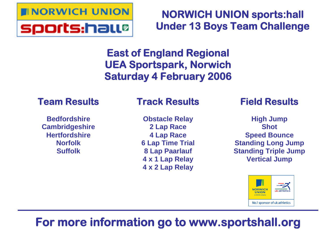

**NORWICH UNION sports:hall Under 13 Boys Team Challenge**

**East of England Regional UEA Sportspark, Norwich Saturday 4 February 2006**

## **Team Results**

**Bedfordshire Cambridgeshire Hertfordshire Norfolk Suffolk**

# **Track Results**

**Obstacle Relay 2 Lap Race 4 Lap Race 6 Lap Time Trial 8 Lap Paarlauf 4 x 1 Lap Relay 4 x 2 Lap Relay**

# **Field Results**

**High Jump Shot Speed Bounce Standing Long Jump Standing Triple Jump Vertical Jump**



# **For more information go to www.sportshall.org**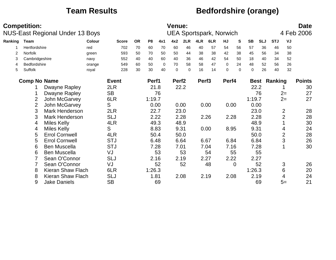### **Team Results Bedfordshire (orange)**

|         | <b>Competition:</b> | NUS-East Regional Under 13 Boys |        |              |           |                |             | <b>Venue:</b>     |          |                   | <b>UEA Sportspark, Norwich</b> |             |             |           |            |                     |                | <b>Date</b><br>4 Feb 2006 |
|---------|---------------------|---------------------------------|--------|--------------|-----------|----------------|-------------|-------------------|----------|-------------------|--------------------------------|-------------|-------------|-----------|------------|---------------------|----------------|---------------------------|
| Ranking | Team                |                                 | Colour | <b>Score</b> | <b>OR</b> | P <sub>8</sub> | 4x1         | 4x2               | 2LR      | 4LR               | 6LR                            | HJ          | S           | <b>SB</b> | <b>SLJ</b> | <b>STJ</b>          | VJ             |                           |
|         | Hertfordshire       |                                 | red    | 702          | 70        | 60             | 70          | 60                | 46       | 40                | 57                             | 54          | 56          | 57        | 36         | 46                  | 50             |                           |
| 2       | Norfolk             |                                 | green  | 593          | 50        | 70             | 50          | 50                | 44       | 38                | 38                             | 42          | 38          | 45        | 56         | 34                  | 38             |                           |
| 3       | Cambridgeshire      |                                 | navy   | 552          | 40        | 40             | 60          | 40                | 36       | 46                | 42                             | 54          | 50          | 18        | 40         | 34                  | 52             |                           |
| 4       | <b>Bedfordshire</b> |                                 | orange | 549          | 60        | 50             | $\mathbf 0$ | 70                | 58       | 58                | 47                             | $\mathbf 0$ | 24          | 48        | 52         | 56                  | 26             |                           |
| 5       | <b>Suffolk</b>      |                                 | royal  | 228          | 30        | 30             | 40          | $\Omega$          | $\Omega$ | 16                | 14                             | 0           | $\Omega$    | 0         | 26         | 40                  | 32             |                           |
|         | <b>Comp No Name</b> |                                 |        | <b>Event</b> |           | Perf1          |             | Perf <sub>2</sub> |          | Perf <sub>3</sub> |                                | Perf4       |             |           |            | <b>Best Ranking</b> |                | <b>Points</b>             |
|         |                     | Dwayne Rapley                   |        | 2LR          |           | 21.8           |             |                   | 22.2     |                   |                                |             |             |           | 22.2       |                     |                | 30                        |
|         |                     | Dwayne Rapley                   |        | <b>SB</b>    |           |                | 76          |                   |          |                   |                                |             |             |           | 76         |                     | $2=$           | 27                        |
|         | 2                   | John McGarvey                   |        | 6LR          |           | 1:19.7         |             |                   |          |                   |                                |             |             | 1:19.7    |            |                     | $2=$           | 27                        |
|         | $\overline{2}$      | John McGarvey                   |        | S            |           | 0.00           |             |                   | 0.00     |                   | 0.00                           | 0.00        |             |           | 0.00       |                     |                |                           |
|         | 3                   | Mark Henderson                  |        | 2LR          |           | 22.7           |             |                   | 23.0     |                   |                                |             |             |           | 23.0       |                     | $\overline{2}$ | 28                        |
|         | 3                   | Mark Henderson                  |        | <b>SLJ</b>   |           | 2.22           |             |                   | 2.28     |                   | 2.26                           | 2.28        |             |           | 2.28       |                     | $\overline{2}$ | 28                        |
|         | 4                   | <b>Miles Kelly</b>              |        | 4LR          |           | 49.3           |             |                   | 48.9     |                   |                                |             |             | 48.9      |            |                     |                | 30                        |
|         | 4                   | <b>Miles Kelly</b>              |        | S            |           | 8.83           |             |                   | 9.31     |                   | 0.00                           | 8.95        |             | 9.31      |            |                     | 4              | 24                        |
|         | 5                   | <b>Errol Cornwell</b>           |        | 4LR          |           | 50.4           |             |                   | 50.0     |                   |                                |             |             |           | 50.0       |                     | $\overline{2}$ | 28                        |
|         | 5                   | <b>Errol Cornwell</b>           |        | <b>STJ</b>   |           | 6.48           |             |                   | 6.64     |                   | 6.67                           | 6.84        |             |           | 6.84       |                     | 3              | 26                        |
|         | 6                   | <b>Ben Muscella</b>             |        | <b>STJ</b>   |           |                | 7.28        |                   | 7.01     |                   | 7.04                           | 7.16        |             |           | 7.28       |                     |                | 30                        |
|         | 6                   | <b>Ben Muscella</b>             |        | VJ           |           |                | 53          |                   | 53       |                   | 54                             |             | 55          |           | 55         |                     |                |                           |
|         |                     | Sean O'Connor                   |        | <b>SLJ</b>   |           | 2.16           |             |                   | 2.19     |                   | 2.27                           | 2.22        |             | 2.27      |            |                     |                |                           |
|         |                     | Sean O'Connor                   |        | VJ           |           |                | 52          |                   | 52       |                   | 48                             |             | $\mathbf 0$ |           | 52         |                     | 3              | 26                        |
|         | 8                   | <b>Kieran Shaw Flach</b>        |        | 6LR          |           | 1:26.3         |             |                   |          |                   |                                |             |             | 1:26.3    |            |                     | 6              | 20                        |
|         | 8                   | Kieran Shaw Flach               |        | <b>SLJ</b>   |           | 1.81           |             |                   | 2.08     |                   | 2.19                           | 2.08        |             |           | 2.19       |                     | 4              | 24                        |
|         | 9                   | <b>Jake Daniels</b>             |        | <b>SB</b>    |           |                | 69          |                   |          |                   |                                |             |             |           | 69         |                     | $5=$           | 21                        |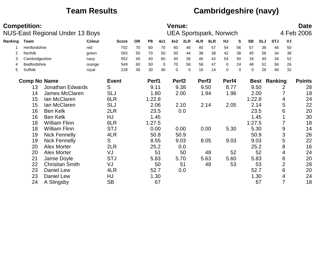## **Team Results Cambridgeshire (navy)**

|         | <b>Competition:</b> | NUS-East Regional Under 13 Boys |               |              |           |                |      | <b>Venue:</b>     |          |                   | <b>UEA Sportspark, Norwich</b> |          |          |             |            |                     |                | <b>Date</b><br>4 Feb 2006 |
|---------|---------------------|---------------------------------|---------------|--------------|-----------|----------------|------|-------------------|----------|-------------------|--------------------------------|----------|----------|-------------|------------|---------------------|----------------|---------------------------|
| Ranking | <b>Team</b>         |                                 | <b>Colour</b> | <b>Score</b> | <b>OR</b> | P <sub>8</sub> | 4x1  | 4x2               | 2LR      | 4LR               | 6LR                            | HJ       | S        | <b>SB</b>   | <b>SLJ</b> | <b>STJ</b>          | VJ             |                           |
|         | Hertfordshire       |                                 | red           | 702          | 70        | 60             | 70   | 60                | 46       | 40                | 57                             | 54       | 56       | 57          | 36         | 46                  | 50             |                           |
| 2       | Norfolk             |                                 | green         | 593          | 50        | 70             | 50   | 50                | 44       | 38                | 38                             | 42       | 38       | 45          | 56         | 34                  | 38             |                           |
| 3       | Cambridgeshire      |                                 | navy          | 552          | 40        | 40             | 60   | 40                | 36       | 46                | 42                             | 54       | 50       | 18          | 40         | 34                  | 52             |                           |
| 4       | Bedfordshire        |                                 | orange        | 549          | 60        | 50             | 0    | 70                | 58       | 58                | 47                             | $\Omega$ | 24       | 48          | 52         | 56                  | 26             |                           |
| 5       | Suffolk             |                                 | royal         | 228          | 30        | 30             | 40   | $\Omega$          | $\Omega$ | 16                | 14                             | $\Omega$ | $\Omega$ | $\mathbf 0$ | 26         | 40                  | 32             |                           |
|         | <b>Comp No Name</b> |                                 |               | <b>Event</b> |           | Perf1          |      | Perf <sub>2</sub> |          | Perf <sub>3</sub> |                                | Perf4    |          |             |            | <b>Best Ranking</b> |                | <b>Points</b>             |
|         | 13                  | <b>Jonathan Edwards</b>         |               | S            |           | 9.11           |      |                   | 9.38     |                   | 9.50                           | 8.77     |          |             | 9.50       |                     | 2              | 28                        |
|         | 14                  | James McClaren                  |               | <b>SLJ</b>   |           |                | 1.80 |                   | 2.00     |                   | 1.94                           | 1.96     |          |             | 2.00       |                     |                | 18                        |
|         | 15                  | Ian McClaren                    |               | 6LR          |           | 1:22.8         |      |                   |          |                   |                                |          |          | 1:22.8      |            |                     | 4              | 24                        |
|         | 15                  | Ian McClaren                    |               | <b>SLJ</b>   |           |                | 2.06 |                   | 2.10     |                   | 2.14                           | 2.05     |          |             | 2.14       |                     | 5              | 22                        |
|         | 16                  | <b>Ben Kelk</b>                 |               | 2LR          |           |                | 23.5 |                   | 0.0      |                   |                                |          |          |             | 23.5       |                     | 6              | 20                        |
|         | 16                  | <b>Ben Kelk</b>                 |               | HJ           |           |                | 1.45 |                   |          |                   |                                |          |          |             | 1.45       |                     |                | 30                        |
|         | 18                  | <b>William Flinn</b>            |               | 6LR          |           | 1:27.5         |      |                   |          |                   |                                |          |          | 1:27.5      |            |                     | 7              | 18                        |
|         | 18                  | <b>William Flinn</b>            |               | <b>STJ</b>   |           |                | 0.00 |                   | 0.00     |                   | 0.00                           | 5.30     |          |             | 5.30       |                     | 9              | 14                        |
|         | 19                  | <b>Nick Fennelly</b>            |               | 4LR          |           |                | 50.8 |                   | 50.9     |                   |                                |          |          |             | 50.9       |                     | 3              | 26                        |
|         | 19                  | <b>Nick Fennelly</b>            |               | S            |           |                | 8.55 |                   | 9.03     |                   | 8.05                           | 9.03     |          |             | 9.03       |                     | 5              | 22                        |
|         | 20                  | <b>Alex Morter</b>              |               | 2LR          |           |                | 25.2 |                   | 0.0      |                   |                                |          |          |             | 25.2       |                     | 8              | 16                        |
|         | 20                  | <b>Alex Morter</b>              |               | VJ           |           |                | 51   |                   | 50       |                   | 48                             |          | 52       |             | 52         |                     | 4              | 24                        |
|         | 21                  | Jamie Doyle                     |               | <b>STJ</b>   |           |                | 5.83 |                   | 5.70     |                   | 5.63                           | 5.60     |          |             | 5.83       |                     | 6              | 20                        |
|         | 22                  | <b>Chrisitan Smith</b>          |               | VJ           |           |                | 50   |                   | 51       |                   | 48                             |          | 53       |             | 53         |                     | $\overline{2}$ | 28                        |
|         | 23                  | Daniel Lew                      |               | 4LR          |           |                | 52.7 |                   | 0.0      |                   |                                |          |          | 52.7        |            |                     | 6              | 20                        |
|         | 23                  | Daniel Lew                      |               | HJ           |           |                | 1.30 |                   |          |                   |                                |          |          |             | 1.30       |                     | 4              | 24                        |
|         | 24                  | A Slingsby                      |               | <b>SB</b>    |           |                | 67   |                   |          |                   |                                |          |          |             | 67         |                     | $\overline{7}$ | 18                        |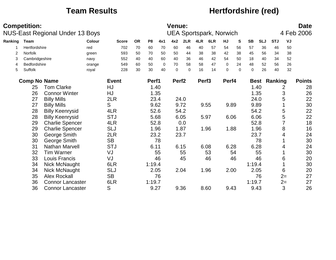### **Team Results** *Hertfordshire (red)*

|         | <b>Competition:</b>           |                                 |        |              |           |                |      | <b>Venue:</b>     |          |                   |                                |          |          |                     |            |                     |      | <b>Date</b>   |
|---------|-------------------------------|---------------------------------|--------|--------------|-----------|----------------|------|-------------------|----------|-------------------|--------------------------------|----------|----------|---------------------|------------|---------------------|------|---------------|
|         |                               | NUS-East Regional Under 13 Boys |        |              |           |                |      |                   |          |                   | <b>UEA Sportspark, Norwich</b> |          |          |                     |            |                     |      | 4 Feb 2006    |
| Ranking | <b>Team</b>                   |                                 | Colour | <b>Score</b> | <b>OR</b> | P <sub>8</sub> | 4x1  | 4x2               | 2LR      | 4LR               | 6LR                            | HJ       | S        | <b>SB</b>           | <b>SLJ</b> | <b>STJ</b>          | VJ   |               |
|         | Hertfordshire                 |                                 | red    | 702          | 70        | 60             | 70   | 60                | 46       | 40                | 57                             | 54       | 56       | 57                  | 36         | 46                  | 50   |               |
| 2       | Norfolk                       |                                 | green  | 593          | 50        | 70             | 50   | 50                | 44       | 38                | 38                             | 42       | 38       | 45                  | 56         | 34                  | 38   |               |
| 3       | Cambridgeshire                |                                 | navy   | 552          | 40        | 40             | 60   | 40                | 36       | 46                | 42                             | 54       | 50       | 18                  | 40         | 34                  | 52   |               |
| 4       | Bedfordshire                  |                                 | orange | 549          | 60        | 50             | 0    | 70                | 58       | 58                | 47                             | $\Omega$ | 24       | 48                  | 52         | 56                  | 26   |               |
| 5       | Suffolk                       |                                 | royal  | 228          | 30        | 30             | 40   | $\mathbf 0$       | $\Omega$ | 16                | 14                             | 0        | $\Omega$ | $\mathsf{O}\xspace$ | 26         | 40                  | 32   |               |
|         | <b>Comp No Name</b>           |                                 |        | <b>Event</b> |           | Perf1          |      | Perf <sub>2</sub> |          | Perf <sub>3</sub> |                                | Perf4    |          |                     |            | <b>Best Ranking</b> |      | <b>Points</b> |
|         | <b>Tom Clarke</b><br>HJ<br>25 |                                 |        |              |           |                | 1.40 |                   |          |                   |                                |          |          |                     | 1.40       |                     | 2    | 28            |
|         | 26                            | <b>Connor Winter</b>            |        | HJ           |           |                | 1.35 |                   |          |                   |                                |          |          |                     | 1.35       |                     | 3    | 26            |
|         | 27                            | <b>Billy Mills</b>              |        | 2LR          |           |                | 23.4 |                   | 24.0     |                   |                                |          |          |                     | 24.0       |                     | 5    | 22            |
|         | 27                            | <b>Billy Mills</b>              |        | S            |           |                | 9.62 |                   | 9.72     |                   | 9.55                           | 9.89     |          |                     | 9.89       |                     |      | 30            |
|         | 28                            | <b>Billy Keenrysid</b>          |        | 4LR          |           |                | 52.6 |                   | 54.2     |                   |                                |          |          |                     | 54.2       |                     | 5    | 22            |
|         | 28                            | <b>Billy Keenrysid</b>          |        | <b>STJ</b>   |           |                | 5.68 |                   | 6.05     |                   | 5.97                           | 6.06     |          |                     | 6.06       |                     | 5    | 22            |
|         | 29                            | <b>Charlie Spencer</b>          |        | 4LR          |           | 52.8           |      |                   | 0.0      |                   |                                |          |          |                     | 52.8       |                     | 7    | 18            |
|         | 29                            | <b>Charlie Spencer</b>          |        | <b>SLJ</b>   |           |                | 1.96 |                   | 1.87     |                   | 1.96                           | 1.88     |          |                     | 1.96       |                     | 8    | 16            |
|         | 30                            | George Smith                    |        | 2LR          |           |                | 23.2 |                   | 23.7     |                   |                                |          |          |                     | 23.7       |                     | 4    | 24            |
|         | 30                            | George Smith                    |        | <b>SB</b>    |           |                | 78   |                   |          |                   |                                |          |          |                     | 78         |                     |      | 30            |
|         | 31                            | Nathan Marvell                  |        | <b>STJ</b>   |           | 6.11           |      |                   | 6.15     |                   | 6.08                           | 6.28     |          |                     | 6.28       |                     | 4    | 24            |
|         | 32                            | <b>Tim Warner</b>               |        | VJ           |           |                | 55   |                   | 55       |                   | 53                             |          | 54       |                     | 55         |                     |      | 30            |
|         | 33                            | Louis Francis                   |        | VJ           |           |                | 46   |                   | 45       |                   | 46                             |          | 46       |                     | 46         |                     | 6    | 20            |
|         | 34                            | Nick McNaught                   |        | 6LR          |           | 1:19.4         |      |                   |          |                   |                                |          |          | 1:19.4              |            |                     |      | 30            |
|         | 34                            | Nick McNaught                   |        | <b>SLJ</b>   |           | 2.05           |      |                   | 2.04     |                   | 1.96                           | 2.00     |          |                     | 2.05       |                     | 6    | 20            |
|         | 35                            | <b>Alex Rockall</b>             |        | <b>SB</b>    |           |                | 76   |                   |          |                   |                                |          |          |                     | 76         |                     | $2=$ | 27            |
|         | 36                            | <b>Connor Lancaster</b>         |        | 6LR          |           | 1:19.7         |      |                   |          |                   |                                |          |          | 1:19.7              |            |                     | $2=$ | 27            |
|         | 36                            | <b>Connor Lancaster</b>         |        | S            |           | 9.27           |      |                   | 9.36     |                   | 8.60                           | 9.43     |          |                     | 9.43       |                     | 3    | 26            |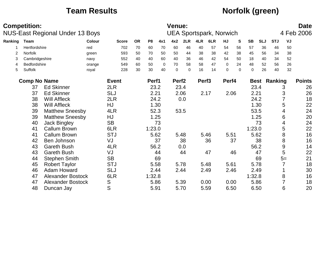### **Team Results** *Norfolk (green)*

|         | <b>Competition:</b> | NUS-East Regional Under 13 Boys |        |              |           |                |          | <b>Venue:</b>     |          |                   | <b>UEA Sportspark, Norwich</b> |          |              |             |             |            |                | <b>Date</b><br>4 Feb 2006 |
|---------|---------------------|---------------------------------|--------|--------------|-----------|----------------|----------|-------------------|----------|-------------------|--------------------------------|----------|--------------|-------------|-------------|------------|----------------|---------------------------|
|         |                     |                                 |        |              |           |                |          |                   |          |                   |                                |          |              |             |             |            |                |                           |
| Ranking | <b>Team</b>         |                                 | Colour | <b>Score</b> | <b>OR</b> | P <sub>8</sub> | 4x1      | 4x2               | 2LR      | 4LR               | 6LR                            | HJ       | $\mathbf{s}$ | <b>SB</b>   | <b>SLJ</b>  | <b>STJ</b> | VJ             |                           |
|         | Hertfordshire       |                                 | red    | 702          | 70        | 60             | 70       | 60                | 46       | 40                | 57                             | 54       | 56           | 57          | 36          | 46         | 50             |                           |
| 2       | Norfolk             |                                 | green  | 593          | 50        | 70             | 50       | 50                | 44       | 38                | 38                             | 42       | 38           | 45          | 56          | 34         | 38             |                           |
| 3       | Cambridgeshire      |                                 | navy   | 552          | 40        | 40             | 60       | 40                | 36       | 46                | 42                             | 54       | 50           | 18          | 40          | 34         | 52             |                           |
| 4       | Bedfordshire        |                                 | orange | 549          | 60        | 50             | $\Omega$ | 70                | 58       | 58                | 47                             | $\Omega$ | 24           | 48          | 52          | 56         | 26             |                           |
| 5       | Suffolk             |                                 | royal  | 228          | 30        | 30             | 40       | $\mathbf 0$       | $\Omega$ | 16                | 14                             | 0        | $\Omega$     | $\mathbf 0$ | 26          | 40         | 32             |                           |
|         | <b>Comp No Name</b> |                                 |        | <b>Event</b> |           | Perf1          |          | Perf <sub>2</sub> |          | Perf <sub>3</sub> |                                | Perf4    |              |             | <b>Best</b> | Ranking    |                | <b>Points</b>             |
|         | 37                  | <b>Ed Skinner</b>               |        | 2LR          |           | 23.2           |          |                   | 23.4     |                   |                                |          |              | 23.4        |             |            | 3              | 26                        |
|         | 37                  | <b>Ed Skinner</b>               |        | <b>SLJ</b>   |           | 2.21           |          |                   | 2.06     |                   | 2.17                           | 2.06     |              | 2.21        |             |            | 3              | 26                        |
|         | 38                  | <b>Will Affleck</b>             |        | 2LR          |           | 24.2           |          |                   | 0.0      |                   |                                |          |              |             | 24.2        |            | $\overline{7}$ | 18                        |
|         | 38                  | <b>Will Affleck</b>             |        | <b>HJ</b>    |           |                | 1.30     |                   |          |                   |                                |          |              |             | 1.30        |            | 5              | 22                        |
|         | 39                  | <b>Matthew Sneesby</b>          |        | 4LR          |           |                | 52.3     |                   | 53.5     |                   |                                |          |              |             | 53.5        |            | 4              | 24                        |
|         | 39                  | <b>Matthew Sneesby</b>          |        | HJ           |           |                | 1.25     |                   |          |                   |                                |          |              |             | 1.25        |            | 6              | 20                        |
|         | 40                  | <b>Jack Bingley</b>             |        | <b>SB</b>    |           |                | 73       |                   |          |                   |                                |          |              |             | 73          |            | 4              | 24                        |
|         | 41                  | Callum Brown                    |        | 6LR          |           | 1:23.0         |          |                   |          |                   |                                |          |              | 1:23.0      |             |            | 5              | 22                        |
|         | 41                  | <b>Callum Brown</b>             |        | <b>STJ</b>   |           | 5.62           |          |                   | 5.48     |                   | 5.46                           | 5.51     |              |             | 5.62        |            | 8              | 16                        |
|         | 42                  | Ben Johnson                     |        | VJ           |           |                | 37       |                   | 38       |                   | 36                             |          | 37           |             | 38          |            | 8              | 16                        |
|         | 43                  | <b>Gareth Bush</b>              |        | 4LR          |           | 56.2           |          |                   | 0.0      |                   |                                |          |              |             | 56.2        |            | 9              | 14                        |
|         | 43                  | <b>Gareth Bush</b>              |        | VJ           |           |                | 44       |                   | 44       |                   | 47                             |          | 46           |             | 47          |            | 5              | 22                        |
|         | 44                  | <b>Stephen Smith</b>            |        | <b>SB</b>    |           |                | 69       |                   |          |                   |                                |          |              |             | 69          |            | $5=$           | 21                        |
|         | 45                  | <b>Robert Taylor</b>            |        | <b>STJ</b>   |           | 5.58           |          |                   | 5.78     |                   | 5.48                           | 5.61     |              |             | 5.78        |            | $\overline{7}$ | 18                        |
|         | 46                  | Adam Howard                     |        | <b>SLJ</b>   |           | 2.44           |          |                   | 2.44     |                   | 2.49                           | 2.46     |              | 2.49        |             |            |                | 30                        |
|         | 47                  | <b>Alexander Bostock</b>        |        | 6LR          |           | 1:32.8         |          |                   |          |                   |                                |          |              | 1:32.8      |             |            | 8              | 16                        |
|         | 47                  | <b>Alexander Bostock</b>        |        | S            |           | 5.86           |          |                   | 5.39     |                   | 0.00                           | 0.00     |              |             | 5.86        |            | 7              | 18                        |
|         | 48                  | Duncan Jay                      |        | S            |           | 5.91           |          |                   | 5.70     |                   | 5.59                           | 6.50     |              |             | 6.50        |            | 6              | 20                        |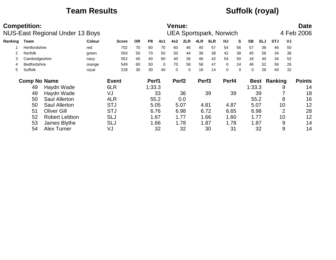## **Team Results CONSULS CONSULS Suffolk (royal)**

|         | <b>Competition:</b>  | NUS-East Regional Under 13 Boys |               |              |           |        |          | <b>Venue:</b>     |          |                   | <b>UEA Sportspark, Norwich</b> |             |          |           |            |                     |                | <b>Date</b><br>4 Feb 2006 |
|---------|----------------------|---------------------------------|---------------|--------------|-----------|--------|----------|-------------------|----------|-------------------|--------------------------------|-------------|----------|-----------|------------|---------------------|----------------|---------------------------|
| Ranking | Team                 |                                 | <b>Colour</b> | <b>Score</b> | <b>OR</b> | P8     | 4x1      | 4x2               | 2LR      | 4LR               | 6LR                            | HJ          | S        | <b>SB</b> | <b>SLJ</b> | <b>STJ</b>          | VJ             |                           |
|         | <b>Hertfordshire</b> |                                 | red           | 702          | 70        | 60     | 70       | 60                | 46       | 40                | 57                             | 54          | 56       | 57        | 36         | 46                  | 50             |                           |
|         | <b>Norfolk</b>       |                                 | green         | 593          | 50        | 70     | 50       | 50                | 44       | 38                | 38                             | 42          | 38       | 45        | 56         | 34                  | 38             |                           |
|         | Cambridgeshire       |                                 | navy          | 552          | 40        | 40     | 60       | 40                | 36       | 46                | 42                             | 54          | 50       | 18        | 40         | 34                  | 52             |                           |
| 4       | <b>Bedfordshire</b>  |                                 | orange        | 549          | 60        | 50     | $\Omega$ | 70                | 58       | 58                | 47                             | $\Omega$    | 24       | 48        | 52         | 56                  | 26             |                           |
| 5       | Suffolk              |                                 | royal         | 228          | 30        | 30     | 40       | $\Omega$          | $\Omega$ | 16                | 14                             | $\mathbf 0$ | $\Omega$ | $\Omega$  | 26         | 40                  | 32             |                           |
|         | <b>Comp No Name</b>  |                                 |               | <b>Event</b> |           | Perf1  |          | Perf <sub>2</sub> |          | Perf <sub>3</sub> |                                | Perf4       |          |           |            | <b>Best Ranking</b> |                | <b>Points</b>             |
|         | 49                   | Haydn Wade                      |               | 6LR          |           | 1:33.3 |          |                   |          |                   |                                |             |          | 1:33.3    |            |                     | 9              | 14                        |
|         | 49                   | Haydn Wade                      |               | VJ           |           |        | 33       |                   | 36       |                   | 39                             |             | 39       |           | 39         |                     |                | 18                        |
|         | 50                   | <b>Saul Allerton</b>            |               | 4LR          |           | 55.2   |          |                   | 0.0      |                   |                                |             |          |           | 55.2       |                     | 8              | 16                        |
|         | 50                   | <b>Saul Allerton</b>            |               | <b>STJ</b>   |           | 5.05   |          |                   | 5.07     |                   | 4.81                           | 4.87        |          |           | 5.07       |                     | 10             | 12                        |
|         | 51                   | <b>Oliver Gill</b>              |               | <b>STJ</b>   |           | 6.76   |          |                   | 6.98     |                   | 6.72                           | 6.65        |          |           | 6.98       |                     | $\overline{2}$ | 28                        |
|         | 52                   | <b>Robert Lebbon</b>            |               | SLJ          |           |        | 1.67     |                   | 1.77     |                   | 1.66                           | 1.60        |          |           | 1.77       |                     | 10             | 12                        |
|         | 53                   | James Blythe                    |               | <b>SLJ</b>   |           |        | 1.66     |                   | 1.78     |                   | 1.87                           | 1.78        |          |           | 1.87       |                     | 9              | 14                        |
|         | 54                   | <b>Alex Turner</b>              |               | VJ           |           |        | 32       |                   | 32       |                   | 30                             |             | 31       |           | 32         |                     | 9              | 14                        |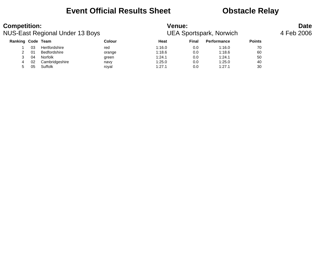### **Event Official Results Sheet Obstacle Relay**

| <b>Competition:</b>      |    | NUS-East Regional Under 13 Boys |        | <b>Venue:</b> |              | <b>UEA Sportspark, Norwich</b> |               | <b>Date</b><br>4 Feb 2006 |
|--------------------------|----|---------------------------------|--------|---------------|--------------|--------------------------------|---------------|---------------------------|
| <b>Ranking Code Team</b> |    |                                 | Colour | Heat          | <b>Final</b> | <b>Performance</b>             | <b>Points</b> |                           |
|                          | 03 | Hertfordshire                   | red    | 1:16.0        | 0.0          | 1:16.0                         | 70            |                           |
|                          | 01 | Bedfordshire                    | orange | 1:18.6        | 0.0          | 1:18.6                         | 60            |                           |
|                          | 04 | Norfolk                         | green  | 1:24.1        | 0.0          | 1:24.1                         | 50            |                           |
| 4                        | 02 | Cambridgeshire                  | navy   | 1:25.0        | 0.0          | 1:25.0                         | 40            |                           |
| 5                        | 05 | Suffolk                         | roval  | 1:27.1        | 0.0          | 1:27.1                         | 30            |                           |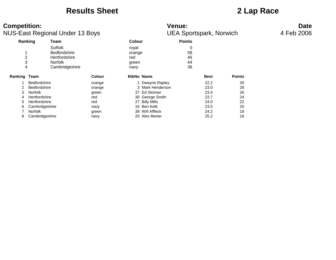### **Results Sheet 2 Lap Race**

| <b>Competition:</b>      |                     | <b>NUS-East Regional Under 13 Boys</b>                                              |        |                                         |                   | <b>Venue:</b><br><b>UEA Sportspark, Norwich</b> |             |               | <b>Date</b><br>4 Feb 2006 |
|--------------------------|---------------------|-------------------------------------------------------------------------------------|--------|-----------------------------------------|-------------------|-------------------------------------------------|-------------|---------------|---------------------------|
|                          | Ranking             | <b>Team</b>                                                                         |        | <b>Colour</b>                           |                   | <b>Points</b>                                   |             |               |                           |
| $\overline{c}$<br>3<br>4 |                     | Suffolk<br><b>Bedfordshire</b><br>Hertfordshire<br><b>Norfolk</b><br>Cambridgeshire |        | royal<br>orange<br>red<br>green<br>navy |                   | 0<br>58<br>46<br>44<br>36                       |             |               |                           |
| Ranking                  | Team                |                                                                                     | Colour |                                         | <b>BibNo Name</b> |                                                 | <b>Best</b> | <b>Points</b> |                           |
|                          | <b>Bedfordshire</b> |                                                                                     | orange |                                         | 1 Dwayne Rapley   |                                                 | 22.2        | 30            |                           |
|                          | <b>Bedfordshire</b> |                                                                                     | orange |                                         | 3 Mark Henderson  |                                                 | 23.0        | 28            |                           |
| 3                        | Norfolk             |                                                                                     | green  |                                         | 37 Ed Skinner     |                                                 | 23.4        | 26            |                           |
|                          | Hertfordshire       |                                                                                     | red    |                                         | 30 George Smith   |                                                 | 23.7        | 24            |                           |
| 5.                       | Hertfordshire       |                                                                                     | red    |                                         | 27 Billy Mills    |                                                 | 24.0        | 22            |                           |
| 6.                       | Cambridgeshire      |                                                                                     | navy   |                                         | 16 Ben Kelk       |                                                 | 23.5        | 20            |                           |
|                          | <b>Norfolk</b>      |                                                                                     | green  |                                         | 38 Will Affleck   |                                                 | 24.2        | 18            |                           |
|                          | Cambridgeshire      |                                                                                     | navy   |                                         | 20 Alex Morter    |                                                 | 25.2        | 16            |                           |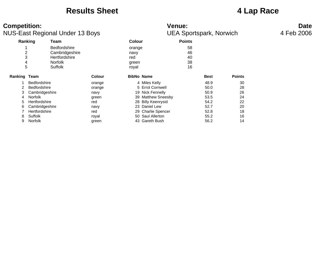### **Results Sheet 4 Lap Race**

### **Competition:** Date NUS-East Regional Under 13 Boys UEA Sportspark, Norwich 4 Feb 2006 **Ranking Team Colour Points** 1 Bedfordshire **by a struck of the set of the Second Second Second Second Second Second Second Second Second Second Second Second Second Second Second Second Second Second Second Second Second Second Second Second Second S** 2 Cambridgeshire 1997 navy 146<br>3 Hertfordshire 1997 navy red 40 Hertfordshire red 4 Norfolk green 38 5 Suffolk royal 16 **Ranking Team Colour BibNo Name Best Points** 1 Bedfordshire orange 4 Miles Kelly 48.9 30 2 Bedfordshire **30 COLLET CORNEY STATE** 128 CORNER 128 Section 128 CORNER 128 SOLD 28 3 Cambridgeshire navy 19 Nick Fennelly 50.9 26 4 Norfolk green 39 Matthew Sneesby 5 Hertfordshire red 28 Billy Keenrysid 54.2 22 6 Cambridgeshire navy 23 Daniel Lew 52.7 20 7 Hertfordshire 7 The red 29 Charlie Spencer 20 Charlie Spencer 62.8 18 8 Suffolk 16 November 10 November 10 November 10 Saul Allerton 16 November 16 November 16 9 Norfolk 9 Norfolk green 43 Gareth Bush 56.2 14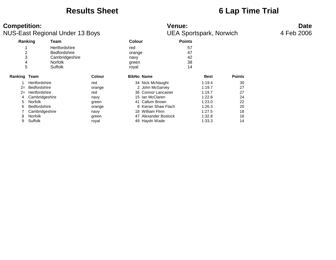### **Results Sheet 6 Lap Time Trial**

| <b>Competition:</b>           | <b>NUS-East Regional Under 13 Boys</b>                                                     |               |                                         | Venue:<br><b>UEA Sportspark, Norwich</b> |               | <b>Date</b><br>4 Feb 2006 |
|-------------------------------|--------------------------------------------------------------------------------------------|---------------|-----------------------------------------|------------------------------------------|---------------|---------------------------|
|                               | Ranking<br>Team                                                                            |               | <b>Colour</b>                           | <b>Points</b>                            |               |                           |
| $\overline{c}$<br>3<br>4<br>5 | Hertfordshire<br><b>Bedfordshire</b><br>Cambridgeshire<br><b>Norfolk</b><br><b>Suffolk</b> |               | red<br>orange<br>navy<br>green<br>royal | 57<br>47<br>42<br>38<br>14               |               |                           |
| <b>Ranking Team</b>           |                                                                                            | <b>Colour</b> | <b>BibNo Name</b>                       | <b>Best</b>                              | <b>Points</b> |                           |
|                               | Hertfordshire                                                                              | red           | 34 Nick McNaught                        | 1:19.4                                   | 30            |                           |
| $2=$                          | Bedfordshire                                                                               | orange        | 2 John McGarvey                         | 1:19.7                                   | 27            |                           |
| $2 =$                         | Hertfordshire                                                                              | red           | 36 Connor Lancaster                     | 1:19.7                                   | 27            |                           |
| 4                             | Cambridgeshire                                                                             | navy          | 15 Ian McClaren                         | 1:22.8                                   | 24            |                           |
| 5.                            | Norfolk                                                                                    | green         | 41 Callum Brown                         | 1:23.0                                   | 22            |                           |
| 6                             | <b>Bedfordshire</b>                                                                        | orange        | 8 Kieran Shaw Flach                     | 1:26.3                                   | 20            |                           |
|                               | Cambridgeshire                                                                             | navy          | 18 William Flinn                        | 1:27.5                                   | 18            |                           |
| 8                             | Norfolk                                                                                    | green         | 47 Alexander Bostock                    | 1:32.8                                   | 16            |                           |
| 9                             | Suffolk                                                                                    | royal         | 49 Haydn Wade                           | 1:33.3                                   | 14            |                           |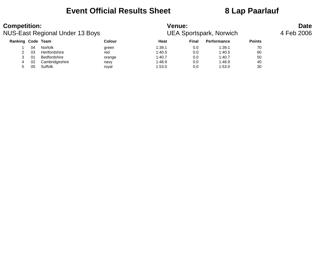### **Event Official Results Sheet 8 Lap Paarlauf**

| <b>Competition:</b>      |    | <b>NUS-East Regional Under 13 Boys</b> |        | <b>Venue:</b> |              | <b>UEA Sportspark, Norwich</b> |               | <b>Date</b><br>4 Feb 2006 |
|--------------------------|----|----------------------------------------|--------|---------------|--------------|--------------------------------|---------------|---------------------------|
| <b>Ranking Code Team</b> |    |                                        | Colour | Heat          | <b>Final</b> | <b>Performance</b>             | <b>Points</b> |                           |
|                          | 04 | Norfolk                                | green  | 1:39.1        | 0.0          | 1:39.1                         | 70            |                           |
| 2                        | 03 | Hertfordshire                          | red    | 1:40.5        | 0.0          | 1:40.5                         | 60            |                           |
| 3                        | 01 | Bedfordshire                           | orange | 1:40.7        | 0.0          | 1:40.7                         | 50            |                           |
| 4                        | 02 | Cambridgeshire                         | navy   | 1:48.9        | 0.0          | 1:48.9                         | 40            |                           |
| 5                        | 05 | Suffolk                                | roval  | 1:53.0        | 0.0          | 1:53.0                         | 30            |                           |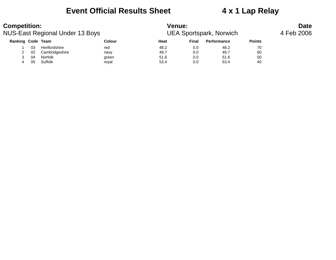### **Event Official Results Sheet 4 x 1 Lap Relay**

| <b>Competition:</b> |    | NUS-East Regional Under 13 Boys |        | <b>Venue:</b> |       | <b>UEA Sportspark, Norwich</b> |               | <b>Date</b><br>4 Feb 2006 |
|---------------------|----|---------------------------------|--------|---------------|-------|--------------------------------|---------------|---------------------------|
| Ranking Code Team   |    |                                 | Colour | Heat          | Final | <b>Performance</b>             | <b>Points</b> |                           |
|                     | 03 | Hertfordshire                   | red    | 48.2          | 0.0   | 48.2                           | 70            |                           |
|                     | 02 | Cambridgeshire                  | navy   | 49.7          | 0.0   | 49.7                           | 60            |                           |
|                     | 04 | Norfolk                         | green  | 51.6          | 0.0   | 51.6                           | 50            |                           |
|                     | 05 | Suffolk                         | roval  | 53.4          | 0.0   | 53.4                           | 40            |                           |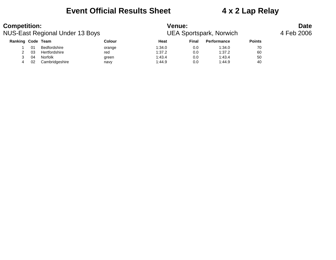### **Event Official Results Sheet 4 x 2 Lap Relay**

| <b>Competition:</b>      |    | NUS-East Regional Under 13 Boys |        | <b>Venue:</b> |       | <b>UEA Sportspark, Norwich</b> |               | <b>Date</b><br>4 Feb 2006 |
|--------------------------|----|---------------------------------|--------|---------------|-------|--------------------------------|---------------|---------------------------|
| <b>Ranking Code Team</b> |    |                                 | Colour | Heat          | Final | <b>Performance</b>             | <b>Points</b> |                           |
|                          | 01 | Bedfordshire                    | orange | 1:34.0        | 0.0   | 1:34.0                         | 70            |                           |
|                          | 03 | Hertfordshire                   | red    | 1:37.2        | 0.0   | 1:37.2                         | 60            |                           |
|                          | 04 | Norfolk                         | green  | 1:43.4        | 0.0   | 1:43.4                         | 50            |                           |
|                          | 02 | Cambridgeshire                  | navy   | 1:44.9        | 0.0   | 1:44.9                         | 40            |                           |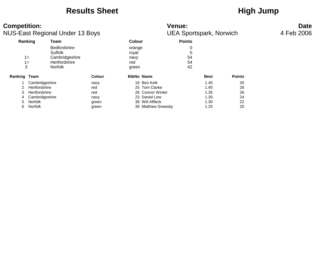### **Results Sheet**<br> **High Jump**

| <b>Competition:</b> |                      | <b>NUS-East Regional Under 13 Boys</b>                                              |        |                                         |                    | <b>Venue:</b><br><b>UEA Sportspark, Norwich</b> |             |               | <b>Date</b><br>4 Feb 2006 |
|---------------------|----------------------|-------------------------------------------------------------------------------------|--------|-----------------------------------------|--------------------|-------------------------------------------------|-------------|---------------|---------------------------|
|                     | Ranking              | <b>Team</b>                                                                         |        | Colour                                  |                    | <b>Points</b>                                   |             |               |                           |
| 3                   | $1 =$<br>$1 =$       | <b>Bedfordshire</b><br>Suffolk<br>Cambridgeshire<br>Hertfordshire<br><b>Norfolk</b> |        | orange<br>royal<br>navy<br>red<br>green |                    | 54<br>54<br>42                                  |             |               |                           |
| Ranking Team        |                      |                                                                                     | Colour |                                         | <b>BibNo Name</b>  |                                                 | <b>Best</b> | <b>Points</b> |                           |
|                     | Cambridgeshire       |                                                                                     | navy   |                                         | 16 Ben Kelk        |                                                 | 1.45        | 30            |                           |
| 2                   | Hertfordshire        |                                                                                     | red    |                                         | 25 Tom Clarke      |                                                 | 1.40        | 28            |                           |
| 3                   | <b>Hertfordshire</b> |                                                                                     | red    |                                         | 26 Connor Winter   |                                                 | 1.35        | 26            |                           |
|                     | Cambridgeshire       |                                                                                     | navy   |                                         | 23 Daniel Lew      |                                                 | 1.30        | 24            |                           |
| 5                   | <b>Norfolk</b>       |                                                                                     | green  |                                         | 38 Will Affleck    |                                                 | 1.30        | 22            |                           |
| 6.                  | Norfolk              |                                                                                     | green  |                                         | 39 Matthew Sneesby |                                                 | 1.25        | 20            |                           |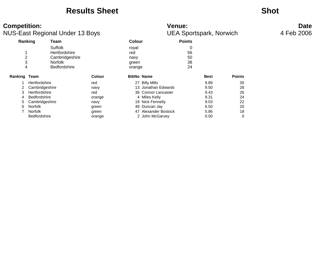### **Results Sheet Shot**

# **NUS-East Reg**

| <b>Competition:</b>     |                      | <b>NUS-East Regional Under 13 Boys</b> |                   | <b>Venue:</b><br><b>UEA Sportspark, Norwich</b> | <b>Date</b><br>4 Feb 2006 |             |               |  |
|-------------------------|----------------------|----------------------------------------|-------------------|-------------------------------------------------|---------------------------|-------------|---------------|--|
| Ranking                 |                      | Team                                   |                   | <b>Colour</b>                                   | <b>Points</b>             |             |               |  |
|                         | Suffolk              |                                        | royal             |                                                 | 0                         |             |               |  |
|                         |                      | <b>Hertfordshire</b>                   | red               |                                                 | 56                        |             |               |  |
| $\overline{\mathbf{c}}$ |                      | Cambridgeshire                         | navy              |                                                 | 50                        |             |               |  |
| 3                       | <b>Norfolk</b>       |                                        | green             |                                                 | 38                        |             |               |  |
| 4                       |                      | <b>Bedfordshire</b>                    | orange            |                                                 | 24                        |             |               |  |
| Ranking Team            |                      | <b>Colour</b>                          | <b>BibNo Name</b> |                                                 |                           | <b>Best</b> | <b>Points</b> |  |
|                         | <b>Hertfordshire</b> | red                                    |                   | 27 Billy Mills                                  |                           | 9.89        | 30            |  |
|                         | Cambridgeshire       | navy                                   |                   | 13 Jonathan Edwards                             |                           | 9.50        | 28            |  |
| 3                       | <b>Hertfordshire</b> | red                                    |                   | 36 Connor Lancaster                             |                           | 9.43        | 26            |  |
| 4                       | <b>Bedfordshire</b>  | orange                                 |                   | 4 Miles Kelly                                   |                           | 9.31        | 24            |  |
|                         | Cambridgeshire       | navy                                   |                   | 19 Nick Fennelly                                |                           | 9.03        | 22            |  |
| 6                       | <b>Norfolk</b>       | green                                  |                   | 48 Duncan Jay                                   |                           | 6.50        | 20            |  |
|                         | <b>Norfolk</b>       | green                                  |                   | 47 Alexander Bostock                            |                           | 5.86        | 18            |  |
|                         | <b>Bedfordshire</b>  | orange                                 |                   | 2 John McGarvey                                 |                           | 0.00        | 0             |  |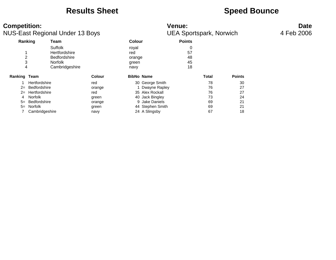### **Results Sheet**<br> **Speed Bounce**

| <b>Competition:</b>             |                   |                     |               | <b>Venue:</b> | <b>Date</b>                    |               |       |               |  |
|---------------------------------|-------------------|---------------------|---------------|---------------|--------------------------------|---------------|-------|---------------|--|
| NUS-East Regional Under 13 Boys |                   |                     |               |               | <b>UEA Sportspark, Norwich</b> | 4 Feb 2006    |       |               |  |
| Ranking                         |                   | Team                |               | <b>Colour</b> |                                | <b>Points</b> |       |               |  |
|                                 |                   | Suffolk             |               | royal         |                                | 0             |       |               |  |
|                                 |                   | Hertfordshire       |               | red           |                                | 57            |       |               |  |
| 2                               |                   | <b>Bedfordshire</b> |               | orange        |                                | 48            |       |               |  |
| 3                               |                   | Norfolk             |               | green         |                                | 45            |       |               |  |
| 4                               |                   | Cambridgeshire      |               | navy          |                                | 18            |       |               |  |
| Ranking Team                    |                   |                     | <b>Colour</b> |               | <b>BibNo Name</b>              |               | Total | <b>Points</b> |  |
|                                 | Hertfordshire     |                     | red           |               | 30 George Smith                |               | 78    | 30            |  |
|                                 | $2=$ Bedfordshire |                     | orange        |               | 1 Dwayne Rapley                |               | 76    | 27            |  |
|                                 | 2= Hertfordshire  |                     | red           |               | 35 Alex Rockall                |               | 76    | 27            |  |
|                                 | Norfolk           |                     | green         |               | 40 Jack Bingley                |               | 73    | 24            |  |
| $5=$                            | Bedfordshire      |                     | orange        |               | 9 Jake Daniels                 |               | 69    | 21            |  |
| $5=$                            | Norfolk           |                     | green         |               | 44 Stephen Smith               |               | 69    | 21            |  |
|                                 | Cambridgeshire    |                     | navy          |               | 24 A Slingsby                  |               | 67    | 18            |  |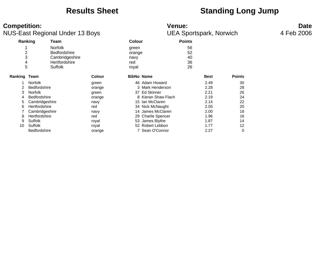### **Results Sheet Construction Standing Long Jump**

### **Competition:** Date<br>
NUS-East Regional Under 13 Boys **Date**<br>
UEA Sportspark, Norwich 4 Feb 2006 **NUS-East Regional Under 13 Boys**

|                | ັ                   |                     |        |                   |                     |               |             |               |
|----------------|---------------------|---------------------|--------|-------------------|---------------------|---------------|-------------|---------------|
| Ranking        |                     | Team                |        | Colour            |                     | <b>Points</b> |             |               |
| 1              |                     | <b>Norfolk</b>      |        | green             |                     | 56            |             |               |
| $\overline{2}$ |                     | <b>Bedfordshire</b> |        | orange            |                     | 52            |             |               |
| 3              |                     | Cambridgeshire      |        | navy              |                     | 40            |             |               |
| 4              |                     | Hertfordshire       | red    |                   |                     | 36            |             |               |
| 5              |                     | <b>Suffolk</b>      |        | royal             |                     | 26            |             |               |
| Ranking Team   |                     |                     | Colour | <b>BibNo Name</b> |                     |               | <b>Best</b> | <b>Points</b> |
|                | <b>Norfolk</b>      |                     | green  |                   | 46 Adam Howard      |               | 2.49        | 30            |
|                | <b>Bedfordshire</b> |                     | orange |                   | 3 Mark Henderson    |               | 2.28        | 28            |
| 3              | <b>Norfolk</b>      |                     | green  |                   | 37 Ed Skinner       |               | 2.21        | 26            |
| 4              | <b>Bedfordshire</b> |                     | orange |                   | 8 Kieran Shaw Flach |               | 2.19        | 24            |
| 5              | Cambridgeshire      |                     | navy   | 15                | Ian McClaren        |               | 2.14        | 22            |
| 6              | Hertfordshire       |                     | red    |                   | 34 Nick McNaught    |               | 2.05        | 20            |
|                | Cambridgeshire      |                     | navy   |                   | 14 James McClaren   |               | 2.00        | 18            |
| 8              | Hertfordshire       |                     | red    |                   | 29 Charlie Spencer  |               | 1.96        | 16            |
| 9              | Suffolk             |                     | royal  |                   | 53 James Blythe     |               | 1.87        | 14            |
| 10             | Suffolk             |                     | royal  |                   | 52 Robert Lebbon    |               | 1.77        | 12            |
|                | <b>Bedfordshire</b> |                     | orange |                   | Sean O'Connor       |               | 2.27        | 0             |
|                |                     |                     |        |                   |                     |               |             |               |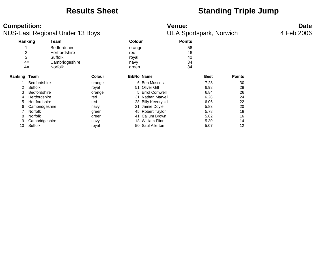### **Results Sheet Standing Triple Jump**

### **Competition:**<br> **Competition:**<br>
Date UEA Sportspark, Norwich 4 Feb 2006 NUS-East Regional Under 13 Boys

| Ranking        |                     | Team                |        | <b>Colour</b> |                      | <b>Points</b> |             |               |
|----------------|---------------------|---------------------|--------|---------------|----------------------|---------------|-------------|---------------|
|                |                     | <b>Bedfordshire</b> |        | orange        |                      | 56            |             |               |
| $\overline{2}$ |                     | Hertfordshire       |        | red           |                      | 46            |             |               |
| 3              |                     | Suffolk             |        | royal         |                      | 40            |             |               |
| $4=$           |                     | Cambridgeshire      |        |               | navy                 |               |             |               |
|                | $4=$                | <b>Norfolk</b>      |        | green         |                      | 34            |             |               |
| Ranking Team   |                     |                     | Colour |               | <b>BibNo Name</b>    |               | <b>Best</b> | <b>Points</b> |
|                | <b>Bedfordshire</b> |                     | orange |               | 6 Ben Muscella       |               | 7.28        | 30            |
| 2              | Suffolk             |                     | royal  |               | 51 Oliver Gill       |               | 6.98        | 28            |
| 3              | <b>Bedfordshire</b> |                     | orange |               | 5 Errol Cornwell     |               | 6.84        | 26            |
| 4              | Hertfordshire       |                     | red    | 31            | Nathan Marvell       |               | 6.28        | 24            |
| 5              | Hertfordshire       |                     | red    |               | 28 Billy Keenrysid   |               | 6.06        | 22            |
| 6              | Cambridgeshire      |                     | navy   | 21            | Jamie Doyle          |               | 5.83        | 20            |
| 7              | <b>Norfolk</b>      |                     | green  | 45            | <b>Robert Taylor</b> |               | 5.78        | 18            |
| 8              | <b>Norfolk</b>      |                     | green  | 41            | Callum Brown         |               | 5.62        | 16            |
| 9              | Cambridgeshire      |                     | navy   | 18            | <b>William Flinn</b> |               | 5.30        | 14            |
| 10             | Suffolk             |                     | royal  | 50            | <b>Saul Allerton</b> |               | 5.07        | 12            |